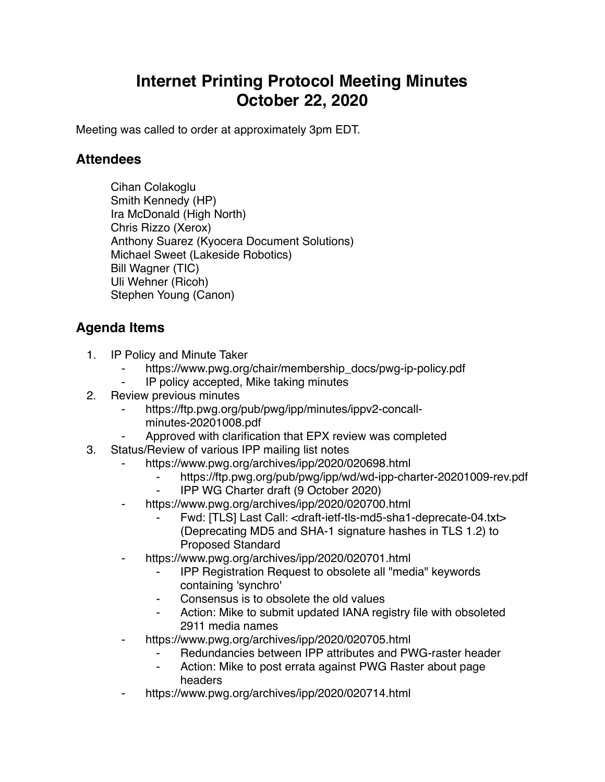## **Internet Printing Protocol Meeting Minutes October 22, 2020**

Meeting was called to order at approximately 3pm EDT.

## **Attendees**

Cihan Colakoglu Smith Kennedy (HP) Ira McDonald (High North) Chris Rizzo (Xerox) Anthony Suarez (Kyocera Document Solutions) Michael Sweet (Lakeside Robotics) Bill Wagner (TIC) Uli Wehner (Ricoh) Stephen Young (Canon)

## **Agenda Items**

- 1. IP Policy and Minute Taker
	- https://www.pwg.org/chair/membership\_docs/pwg-ip-policy.pdf
	- ⁃ IP policy accepted, Mike taking minutes
- 2. Review previous minutes
	- https://ftp.pwg.org/pub/pwg/ipp/minutes/ippv2-concall-
	- minutes-20201008.pdf
	- Approved with clarification that EPX review was completed
- 3. Status/Review of various IPP mailing list notes
	- https://www.pwg.org/archives/ipp/2020/020698.html
		- https://ftp.pwg.org/pub/pwg/ipp/wd/wd-ipp-charter-20201009-rev.pdf
		- ⁃ IPP WG Charter draft (9 October 2020)
		- https://www.pwg.org/archives/ipp/2020/020700.html
			- Fwd: [TLS] Last Call: <draft-ietf-tls-md5-sha1-deprecate-04.txt> (Deprecating MD5 and SHA-1 signature hashes in TLS 1.2) to Proposed Standard
	- https://www.pwg.org/archives/ipp/2020/020701.html
		- ⁃ IPP Registration Request to obsolete all "media" keywords containing 'synchro'
		- Consensus is to obsolete the old values
		- Action: Mike to submit updated IANA registry file with obsoleted 2911 media names
	- https://www.pwg.org/archives/ipp/2020/020705.html
		- Redundancies between IPP attributes and PWG-raster header
		- Action: Mike to post errata against PWG Raster about page headers
	- ⁃ https://www.pwg.org/archives/ipp/2020/020714.html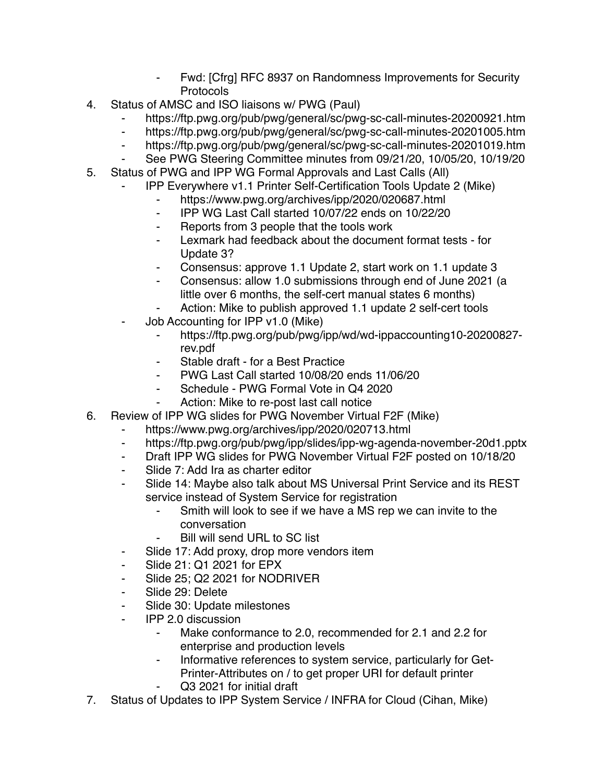- Fwd: [Cfrg] RFC 8937 on Randomness Improvements for Security Protocols
- 4. Status of AMSC and ISO liaisons w/ PWG (Paul)
	- https://ftp.pwg.org/pub/pwg/general/sc/pwg-sc-call-minutes-20200921.htm
	- ⁃ https://ftp.pwg.org/pub/pwg/general/sc/pwg-sc-call-minutes-20201005.htm
	- ⁃ https://ftp.pwg.org/pub/pwg/general/sc/pwg-sc-call-minutes-20201019.htm
	- See PWG Steering Committee minutes from 09/21/20, 10/05/20, 10/19/20
- 5. Status of PWG and IPP WG Formal Approvals and Last Calls (All)
	- ⁃ IPP Everywhere v1.1 Printer Self-Certification Tools Update 2 (Mike)
		- https://www.pwg.org/archives/ipp/2020/020687.html
		- ⁃ IPP WG Last Call started 10/07/22 ends on 10/22/20
		- ⁃ Reports from 3 people that the tools work
		- ⁃ Lexmark had feedback about the document format tests for Update 3?
		- ⁃ Consensus: approve 1.1 Update 2, start work on 1.1 update 3
		- Consensus: allow 1.0 submissions through end of June 2021 (a little over 6 months, the self-cert manual states 6 months)
		- Action: Mike to publish approved 1.1 update 2 self-cert tools
	- Job Accounting for IPP v1.0 (Mike)
		- ⁃ https://ftp.pwg.org/pub/pwg/ipp/wd/wd-ippaccounting10-20200827 rev.pdf
		- ⁃ Stable draft for a Best Practice
		- ⁃ PWG Last Call started 10/08/20 ends 11/06/20
		- ⁃ Schedule PWG Formal Vote in Q4 2020
		- Action: Mike to re-post last call notice
- 6. Review of IPP WG slides for PWG November Virtual F2F (Mike)
	- ⁃ https://www.pwg.org/archives/ipp/2020/020713.html
	- ⁃ https://ftp.pwg.org/pub/pwg/ipp/slides/ipp-wg-agenda-november-20d1.pptx
	- ⁃ Draft IPP WG slides for PWG November Virtual F2F posted on 10/18/20
	- Slide 7: Add Ira as charter editor
	- Slide 14: Maybe also talk about MS Universal Print Service and its REST service instead of System Service for registration
		- Smith will look to see if we have a MS rep we can invite to the conversation
			- Bill will send URL to SC list
	- ⁃ Slide 17: Add proxy, drop more vendors item
	- ⁃ Slide 21: Q1 2021 for EPX
	- Slide 25; Q2 2021 for NODRIVER
	- Slide 29: Delete
	- ⁃ Slide 30: Update milestones
	- ⁃ IPP 2.0 discussion
		- Make conformance to 2.0, recommended for 2.1 and 2.2 for enterprise and production levels
		- ⁃ Informative references to system service, particularly for Get-Printer-Attributes on / to get proper URI for default printer Q3 2021 for initial draft
- 7. Status of Updates to IPP System Service / INFRA for Cloud (Cihan, Mike)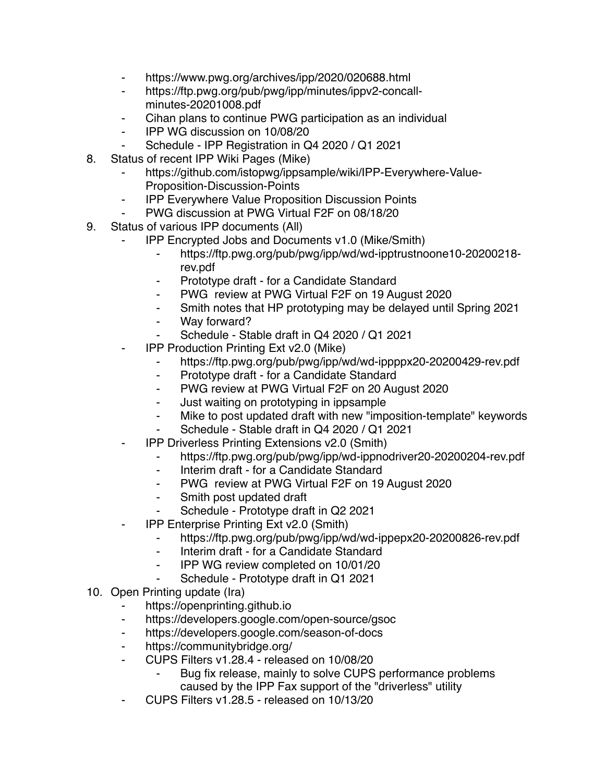- https://www.pwg.org/archives/ipp/2020/020688.html
- https://ftp.pwg.org/pub/pwg/ipp/minutes/ippv2-concallminutes-20201008.pdf
- Cihan plans to continue PWG participation as an individual
- ⁃ IPP WG discussion on 10/08/20
- Schedule IPP Registration in Q4 2020 / Q1 2021
- 8. Status of recent IPP Wiki Pages (Mike)
	- https://github.com/istopwg/ippsample/wiki/IPP-Everywhere-Value-Proposition-Discussion-Points
	- ⁃ IPP Everywhere Value Proposition Discussion Points
	- PWG discussion at PWG Virtual F2F on 08/18/20
- 9. Status of various IPP documents (All)
	- ⁃ IPP Encrypted Jobs and Documents v1.0 (Mike/Smith)
		- ⁃ https://ftp.pwg.org/pub/pwg/ipp/wd/wd-ipptrustnoone10-20200218 rev.pdf
		- Prototype draft for a Candidate Standard
		- ⁃ PWG review at PWG Virtual F2F on 19 August 2020
		- ⁃ Smith notes that HP prototyping may be delayed until Spring 2021
		- Way forward?
		- Schedule Stable draft in Q4 2020 / Q1 2021
	- **IPP Production Printing Ext v2.0 (Mike)** 
		- ⁃ https://ftp.pwg.org/pub/pwg/ipp/wd/wd-ippppx20-20200429-rev.pdf
		- Prototype draft for a Candidate Standard
		- ⁃ PWG review at PWG Virtual F2F on 20 August 2020
		- ⁃ Just waiting on prototyping in ippsample
		- ⁃ Mike to post updated draft with new "imposition-template" keywords
		- Schedule Stable draft in Q4 2020 / Q1 2021
	- **IPP Driverless Printing Extensions v2.0 (Smith)** 
		- ⁃ https://ftp.pwg.org/pub/pwg/ipp/wd-ippnodriver20-20200204-rev.pdf
		- ⁃ Interim draft for a Candidate Standard
		- ⁃ PWG review at PWG Virtual F2F on 19 August 2020
		- ⁃ Smith post updated draft
		- Schedule Prototype draft in Q2 2021
	- **IPP Enterprise Printing Ext v2.0 (Smith)** 
		- ⁃ https://ftp.pwg.org/pub/pwg/ipp/wd/wd-ippepx20-20200826-rev.pdf
		- ⁃ Interim draft for a Candidate Standard
		- ⁃ IPP WG review completed on 10/01/20
		- Schedule Prototype draft in Q1 2021
- 10. Open Printing update (Ira)
	- https://openprinting.github.io
	- ⁃ https://developers.google.com/open-source/gsoc
	- ⁃ https://developers.google.com/season-of-docs
	- https://communitybridge.org/
	- ⁃ CUPS Filters v1.28.4 released on 10/08/20
		- Bug fix release, mainly to solve CUPS performance problems caused by the IPP Fax support of the "driverless" utility
	- ⁃ CUPS Filters v1.28.5 released on 10/13/20